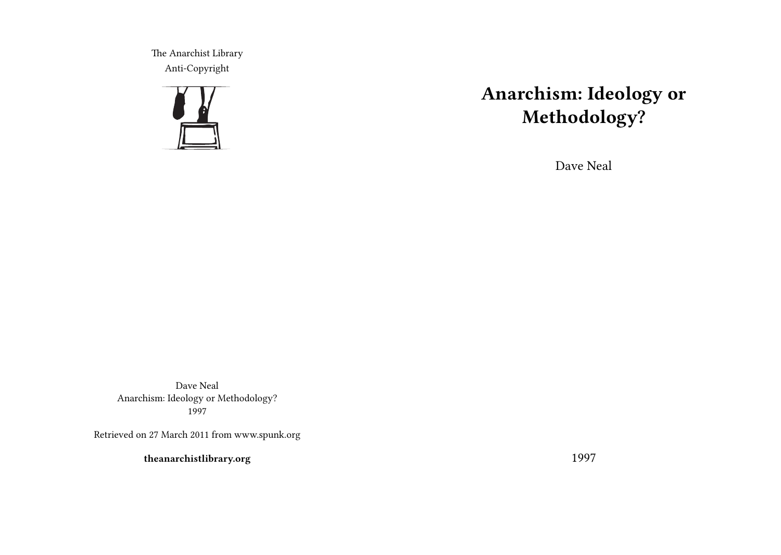The Anarchist Library Anti-Copyright



# **Anarchism: Ideology or Methodology?**

Dave Neal

Dave Neal Anarchism: Ideology or Methodology? 1997

Retrieved on 27 March 2011 from www.spunk.org

**theanarchistlibrary.org**

1997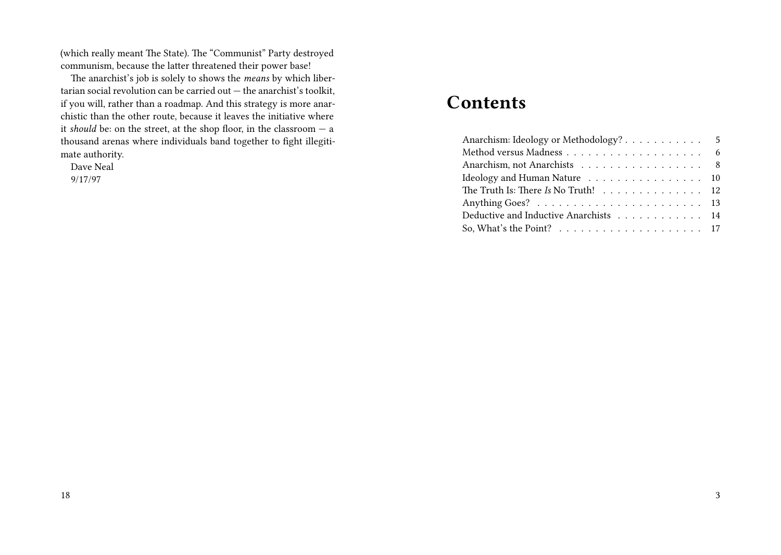(which really meant The State). The "Communist" Party destroyed communism, because the latter threatened their power base!

The anarchist's job is solely to shows the *means* by which libertarian social revolution can be carried out — the anarchist's toolkit, if you will, rather than a roadmap. And this strategy is more anarchistic than the other route, because it leaves the initiative where it *should* be: on the street, at the shop floor, in the classroom — a thousand arenas where individuals band together to fight illegitimate authority.

Dave Neal 9/17/97

# **Contents**

| Anarchism: Ideology or Methodology? 5                                              |  |
|------------------------------------------------------------------------------------|--|
|                                                                                    |  |
| Anarchism, not Anarchists 8                                                        |  |
| Ideology and Human Nature 10                                                       |  |
| The Truth Is: There Is No Truth! 12                                                |  |
|                                                                                    |  |
| Deductive and Inductive Anarchists 14                                              |  |
| So, What's the Point? $\ldots \ldots \ldots \ldots \ldots \ldots \ldots \ldots 17$ |  |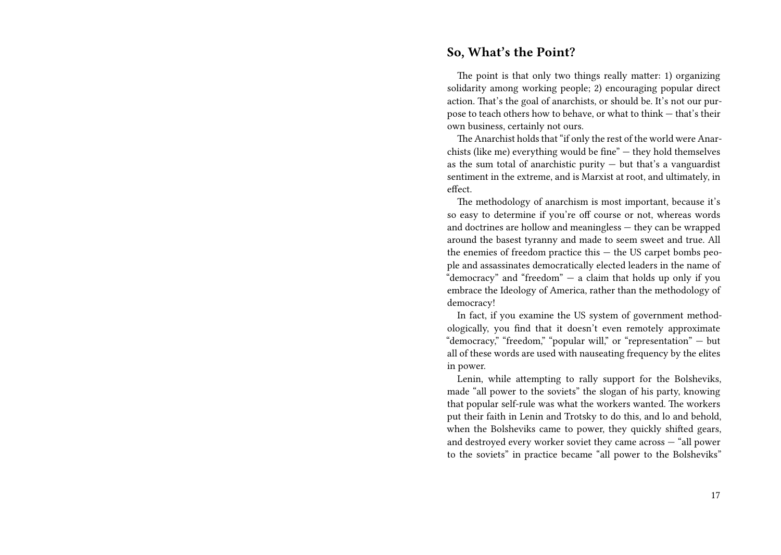#### **So, What's the Point?**

The point is that only two things really matter: 1) organizing solidarity among working people; 2) encouraging popular direct action. That's the goal of anarchists, or should be. It's not our purpose to teach others how to behave, or what to think — that's their own business, certainly not ours.

The Anarchist holds that "if only the rest of the world were Anarchists (like me) everything would be fine" — they hold themselves as the sum total of anarchistic purity  $-$  but that's a vanguardist sentiment in the extreme, and is Marxist at root, and ultimately, in effect.

The methodology of anarchism is most important, because it's so easy to determine if you're off course or not, whereas words and doctrines are hollow and meaningless — they can be wrapped around the basest tyranny and made to seem sweet and true. All the enemies of freedom practice this — the US carpet bombs people and assassinates democratically elected leaders in the name of "democracy" and "freedom" — a claim that holds up only if you embrace the Ideology of America, rather than the methodology of democracy!

In fact, if you examine the US system of government methodologically, you find that it doesn't even remotely approximate "democracy," "freedom," "popular will," or "representation" — but all of these words are used with nauseating frequency by the elites in power.

Lenin, while attempting to rally support for the Bolsheviks, made "all power to the soviets" the slogan of his party, knowing that popular self-rule was what the workers wanted. The workers put their faith in Lenin and Trotsky to do this, and lo and behold, when the Bolsheviks came to power, they quickly shifted gears, and destroyed every worker soviet they came across — "all power to the soviets" in practice became "all power to the Bolsheviks"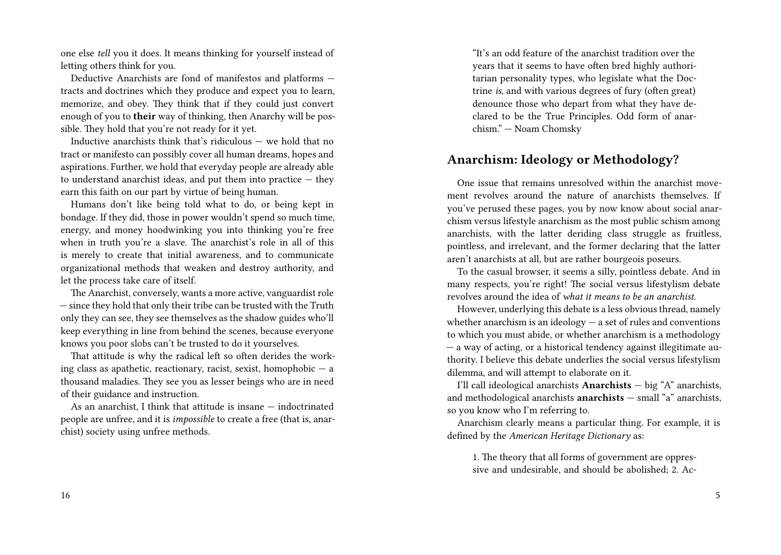one else *tell* you it does. It means thinking for yourself instead of letting others think for you.

Deductive Anarchists are fond of manifestos and platforms tracts and doctrines which they produce and expect you to learn, memorize, and obey. They think that if they could just convert enough of you to **their** way of thinking, then Anarchy will be possible. They hold that you're not ready for it yet.

Inductive anarchists think that's ridiculous — we hold that no tract or manifesto can possibly cover all human dreams, hopes and aspirations. Further, we hold that everyday people are already able to understand anarchist ideas, and put them into practice  $-$  they earn this faith on our part by virtue of being human.

Humans don't like being told what to do, or being kept in bondage. If they did, those in power wouldn't spend so much time, energy, and money hoodwinking you into thinking you're free when in truth you're a slave. The anarchist's role in all of this is merely to create that initial awareness, and to communicate organizational methods that weaken and destroy authority, and let the process take care of itself.

The Anarchist, conversely, wants a more active, vanguardist role — since they hold that only their tribe can be trusted with the Truth only they can see, they see themselves as the shadow guides who'll keep everything in line from behind the scenes, because everyone knows you poor slobs can't be trusted to do it yourselves.

That attitude is why the radical left so often derides the working class as apathetic, reactionary, racist, sexist, homophobic  $-$  a thousand maladies. They see you as lesser beings who are in need of their guidance and instruction.

As an anarchist, I think that attitude is insane — indoctrinated people are unfree, and it is *impossible* to create a free (that is, anarchist) society using unfree methods.

"It's an odd feature of the anarchist tradition over the years that it seems to have often bred highly authoritarian personality types, who legislate what the Doctrine *is*, and with various degrees of fury (often great) denounce those who depart from what they have declared to be the True Principles. Odd form of anarchism." — Noam Chomsky

# **Anarchism: Ideology or Methodology?**

One issue that remains unresolved within the anarchist movement revolves around the nature of anarchists themselves. If you've perused these pages, you by now know about social anarchism versus lifestyle anarchism as the most public schism among anarchists, with the latter deriding class struggle as fruitless, pointless, and irrelevant, and the former declaring that the latter aren't anarchists at all, but are rather bourgeois poseurs.

To the casual browser, it seems a silly, pointless debate. And in many respects, you're right! The social versus lifestylism debate revolves around the idea of *what it means to be an anarchist*.

However, underlying this debate is a less obvious thread, namely whether anarchism is an ideology  $-$  a set of rules and conventions to which you must abide, or whether anarchism is a methodology — a way of acting, or a historical tendency against illegitimate authority. I believe this debate underlies the social versus lifestylism dilemma, and will attempt to elaborate on it.

I'll call ideological anarchists **Anarchists** — big "A" anarchists, and methodological anarchists **anarchists** — small "a" anarchists, so you know who I'm referring to.

Anarchism clearly means a particular thing. For example, it is defined by the *American Heritage Dictionary* as:

1. The theory that all forms of government are oppressive and undesirable, and should be abolished; 2. Ac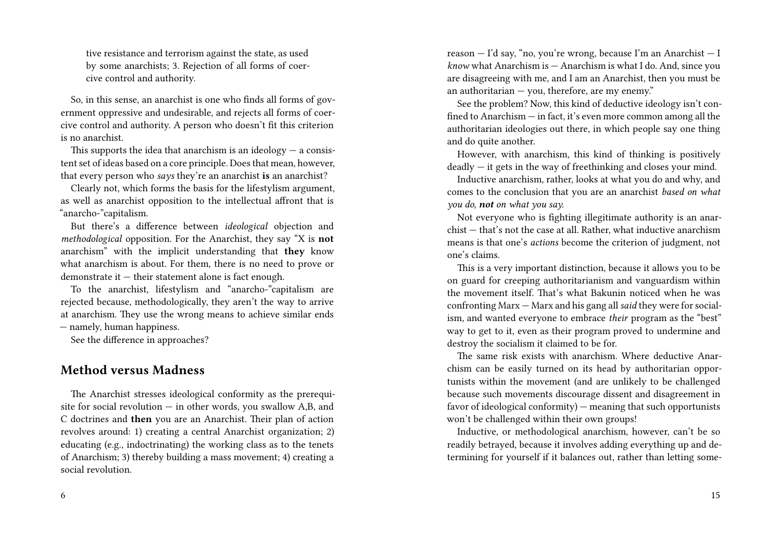tive resistance and terrorism against the state, as used by some anarchists; 3. Rejection of all forms of coercive control and authority.

So, in this sense, an anarchist is one who finds all forms of government oppressive and undesirable, and rejects all forms of coercive control and authority. A person who doesn't fit this criterion is no anarchist.

This supports the idea that anarchism is an ideology  $-$  a consistent set of ideas based on a core principle. Does that mean, however, that every person who *says* they're an anarchist **is** an anarchist?

Clearly not, which forms the basis for the lifestylism argument, as well as anarchist opposition to the intellectual affront that is "anarcho-"capitalism.

But there's a difference between *ideological* objection and *methodological* opposition. For the Anarchist, they say "X is **not** anarchism" with the implicit understanding that **they** know what anarchism is about. For them, there is no need to prove or demonstrate it — their statement alone is fact enough.

To the anarchist, lifestylism and "anarcho-"capitalism are rejected because, methodologically, they aren't the way to arrive at anarchism. They use the wrong means to achieve similar ends

— namely, human happiness.

See the difference in approaches?

#### **Method versus Madness**

The Anarchist stresses ideological conformity as the prerequisite for social revolution — in other words, you swallow A,B, and C doctrines and **then** you are an Anarchist. Their plan of action revolves around: 1) creating a central Anarchist organization; 2) educating (e.g., indoctrinating) the working class as to the tenets of Anarchism; 3) thereby building a mass movement; 4) creating a social revolution.

reason — I'd say, "no, you're wrong, because I'm an Anarchist — I *know* what Anarchism is — Anarchism is what I do. And, since you are disagreeing with me, and I am an Anarchist, then you must be an authoritarian — you, therefore, are my enemy."

See the problem? Now, this kind of deductive ideology isn't confined to Anarchism — in fact, it's even more common among all the authoritarian ideologies out there, in which people say one thing and do quite another.

However, with anarchism, this kind of thinking is positively deadly — it gets in the way of freethinking and closes your mind.

Inductive anarchism, rather, looks at what you do and why, and comes to the conclusion that you are an anarchist *based on what you do, not on what you say.*

Not everyone who is fighting illegitimate authority is an anarchist — that's not the case at all. Rather, what inductive anarchism means is that one's *actions* become the criterion of judgment, not one's claims.

This is a very important distinction, because it allows you to be on guard for creeping authoritarianism and vanguardism within the movement itself. That's what Bakunin noticed when he was confronting Marx — Marx and his gang all *said* they were for socialism, and wanted everyone to embrace *their* program as the "best" way to get to it, even as their program proved to undermine and destroy the socialism it claimed to be for.

The same risk exists with anarchism. Where deductive Anarchism can be easily turned on its head by authoritarian opportunists within the movement (and are unlikely to be challenged because such movements discourage dissent and disagreement in favor of ideological conformity) — meaning that such opportunists won't be challenged within their own groups!

Inductive, or methodological anarchism, however, can't be so readily betrayed, because it involves adding everything up and determining for yourself if it balances out, rather than letting some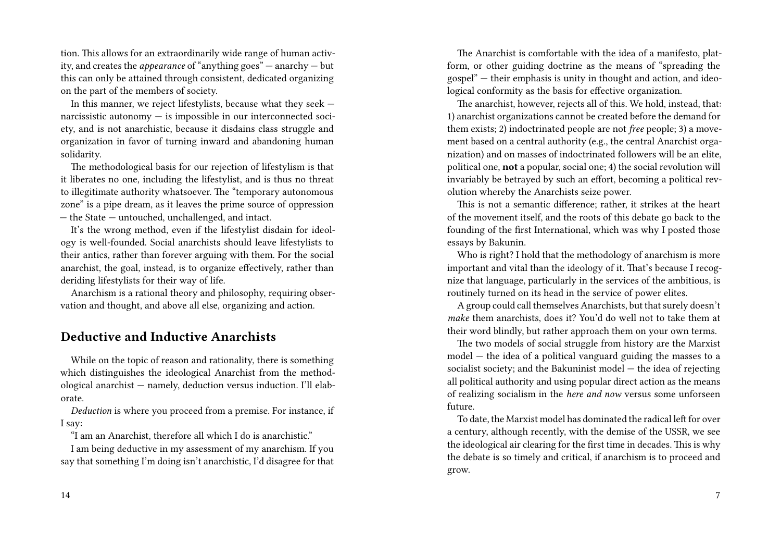tion. This allows for an extraordinarily wide range of human activity, and creates the *appearance* of "anything goes" — anarchy — but this can only be attained through consistent, dedicated organizing on the part of the members of society.

In this manner, we reject lifestylists, because what they seek narcissistic autonomy — is impossible in our interconnected society, and is not anarchistic, because it disdains class struggle and organization in favor of turning inward and abandoning human solidarity.

The methodological basis for our rejection of lifestylism is that it liberates no one, including the lifestylist, and is thus no threat to illegitimate authority whatsoever. The "temporary autonomous zone" is a pipe dream, as it leaves the prime source of oppression — the State — untouched, unchallenged, and intact.

It's the wrong method, even if the lifestylist disdain for ideology is well-founded. Social anarchists should leave lifestylists to their antics, rather than forever arguing with them. For the social anarchist, the goal, instead, is to organize effectively, rather than deriding lifestylists for their way of life.

Anarchism is a rational theory and philosophy, requiring observation and thought, and above all else, organizing and action.

#### **Deductive and Inductive Anarchists**

While on the topic of reason and rationality, there is something which distinguishes the ideological Anarchist from the methodological anarchist — namely, deduction versus induction. I'll elaborate.

*Deduction* is where you proceed from a premise. For instance, if I say:

"I am an Anarchist, therefore all which I do is anarchistic."

I am being deductive in my assessment of my anarchism. If you say that something I'm doing isn't anarchistic, I'd disagree for that

The Anarchist is comfortable with the idea of a manifesto, platform, or other guiding doctrine as the means of "spreading the gospel" — their emphasis is unity in thought and action, and ideological conformity as the basis for effective organization.

The anarchist, however, rejects all of this. We hold, instead, that: 1) anarchist organizations cannot be created before the demand for them exists; 2) indoctrinated people are not *free* people; 3) a movement based on a central authority (e.g., the central Anarchist organization) and on masses of indoctrinated followers will be an elite, political one, **not** a popular, social one; 4) the social revolution will invariably be betrayed by such an effort, becoming a political revolution whereby the Anarchists seize power.

This is not a semantic difference; rather, it strikes at the heart of the movement itself, and the roots of this debate go back to the founding of the first International, which was why I posted those essays by Bakunin.

Who is right? I hold that the methodology of anarchism is more important and vital than the ideology of it. That's because I recognize that language, particularly in the services of the ambitious, is routinely turned on its head in the service of power elites.

A group could call themselves Anarchists, but that surely doesn't *make* them anarchists, does it? You'd do well not to take them at their word blindly, but rather approach them on your own terms.

The two models of social struggle from history are the Marxist model — the idea of a political vanguard guiding the masses to a socialist society; and the Bakuninist model — the idea of rejecting all political authority and using popular direct action as the means of realizing socialism in the *here and now* versus some unforseen future.

To date, the Marxist model has dominated the radical left for over a century, although recently, with the demise of the USSR, we see the ideological air clearing for the first time in decades. This is why the debate is so timely and critical, if anarchism is to proceed and grow.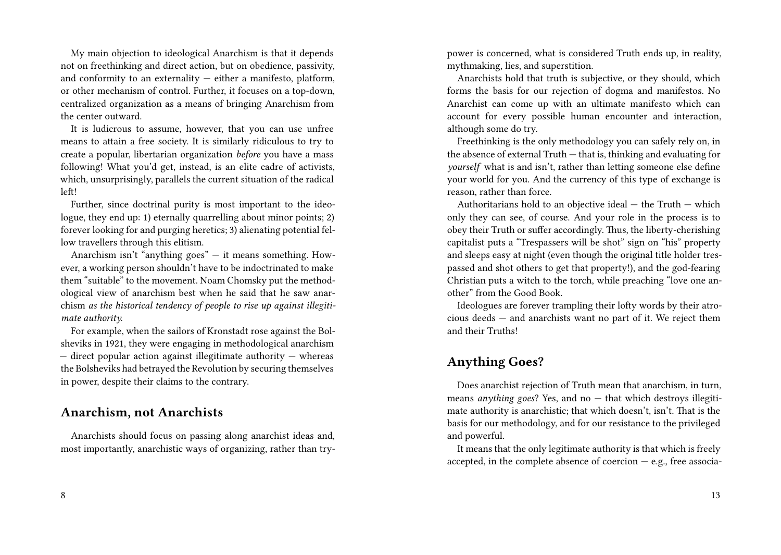My main objection to ideological Anarchism is that it depends not on freethinking and direct action, but on obedience, passivity, and conformity to an externality  $-$  either a manifesto, platform, or other mechanism of control. Further, it focuses on a top-down, centralized organization as a means of bringing Anarchism from the center outward.

It is ludicrous to assume, however, that you can use unfree means to attain a free society. It is similarly ridiculous to try to create a popular, libertarian organization *before* you have a mass following! What you'd get, instead, is an elite cadre of activists, which, unsurprisingly, parallels the current situation of the radical left!

Further, since doctrinal purity is most important to the ideologue, they end up: 1) eternally quarrelling about minor points; 2) forever looking for and purging heretics; 3) alienating potential fellow travellers through this elitism.

Anarchism isn't "anything goes" — it means something. However, a working person shouldn't have to be indoctrinated to make them "suitable" to the movement. Noam Chomsky put the methodological view of anarchism best when he said that he saw anarchism *as the historical tendency of people to rise up against illegitimate authority.*

For example, when the sailors of Kronstadt rose against the Bolsheviks in 1921, they were engaging in methodological anarchism  $-$  direct popular action against illegitimate authority  $-$  whereas the Bolsheviks had betrayed the Revolution by securing themselves in power, despite their claims to the contrary.

#### **Anarchism, not Anarchists**

Anarchists should focus on passing along anarchist ideas and, most importantly, anarchistic ways of organizing, rather than trypower is concerned, what is considered Truth ends up, in reality, mythmaking, lies, and superstition.

Anarchists hold that truth is subjective, or they should, which forms the basis for our rejection of dogma and manifestos. No Anarchist can come up with an ultimate manifesto which can account for every possible human encounter and interaction, although some do try.

Freethinking is the only methodology you can safely rely on, in the absence of external Truth — that is, thinking and evaluating for *yourself* what is and isn't, rather than letting someone else define your world for you. And the currency of this type of exchange is reason, rather than force.

Authoritarians hold to an objective ideal — the Truth — which only they can see, of course. And your role in the process is to obey their Truth or suffer accordingly. Thus, the liberty-cherishing capitalist puts a "Trespassers will be shot" sign on "his" property and sleeps easy at night (even though the original title holder trespassed and shot others to get that property!), and the god-fearing Christian puts a witch to the torch, while preaching "love one another" from the Good Book.

Ideologues are forever trampling their lofty words by their atrocious deeds — and anarchists want no part of it. We reject them and their Truths!

### **Anything Goes?**

Does anarchist rejection of Truth mean that anarchism, in turn, means *anything goes*? Yes, and no — that which destroys illegitimate authority is anarchistic; that which doesn't, isn't. That is the basis for our methodology, and for our resistance to the privileged and powerful.

It means that the only legitimate authority is that which is freely accepted, in the complete absence of coercion  $-$  e.g., free associa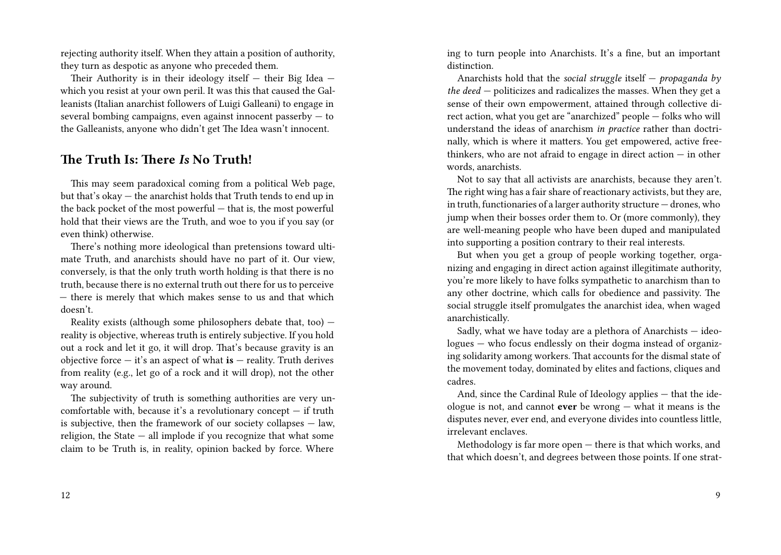rejecting authority itself. When they attain a position of authority, they turn as despotic as anyone who preceded them.

Their Authority is in their ideology itself — their Big Idea which you resist at your own peril. It was this that caused the Galleanists (Italian anarchist followers of Luigi Galleani) to engage in several bombing campaigns, even against innocent passerby  $-$  to the Galleanists, anyone who didn't get The Idea wasn't innocent.

## **The Truth Is: There** *Is* **No Truth!**

This may seem paradoxical coming from a political Web page, but that's okay — the anarchist holds that Truth tends to end up in the back pocket of the most powerful — that is, the most powerful hold that their views are the Truth, and woe to you if you say (or even think) otherwise.

There's nothing more ideological than pretensions toward ultimate Truth, and anarchists should have no part of it. Our view, conversely, is that the only truth worth holding is that there is no truth, because there is no external truth out there for us to perceive — there is merely that which makes sense to us and that which doesn't.

Reality exists (although some philosophers debate that, too) reality is objective, whereas truth is entirely subjective. If you hold out a rock and let it go, it will drop. That's because gravity is an objective force — it's an aspect of what **is** — reality. Truth derives from reality (e.g., let go of a rock and it will drop), not the other way around.

The subjectivity of truth is something authorities are very uncomfortable with, because it's a revolutionary concept  $-$  if truth is subjective, then the framework of our society collapses  $-$  law, religion, the State — all implode if you recognize that what some claim to be Truth is, in reality, opinion backed by force. Where ing to turn people into Anarchists. It's a fine, but an important distinction.

Anarchists hold that the *social struggle* itself — *propaganda by the deed* — politicizes and radicalizes the masses. When they get a sense of their own empowerment, attained through collective direct action, what you get are "anarchized" people — folks who will understand the ideas of anarchism *in practice* rather than doctrinally, which is where it matters. You get empowered, active freethinkers, who are not afraid to engage in direct action  $-$  in other words, anarchists.

Not to say that all activists are anarchists, because they aren't. The right wing has a fair share of reactionary activists, but they are, in truth, functionaries of a larger authority structure — drones, who jump when their bosses order them to. Or (more commonly), they are well-meaning people who have been duped and manipulated into supporting a position contrary to their real interests.

But when you get a group of people working together, organizing and engaging in direct action against illegitimate authority, you're more likely to have folks sympathetic to anarchism than to any other doctrine, which calls for obedience and passivity. The social struggle itself promulgates the anarchist idea, when waged anarchistically.

Sadly, what we have today are a plethora of Anarchists — ideologues — who focus endlessly on their dogma instead of organizing solidarity among workers. That accounts for the dismal state of the movement today, dominated by elites and factions, cliques and cadres.

And, since the Cardinal Rule of Ideology applies — that the ideologue is not, and cannot **ever** be wrong — what it means is the disputes never, ever end, and everyone divides into countless little, irrelevant enclaves.

Methodology is far more open — there is that which works, and that which doesn't, and degrees between those points. If one strat